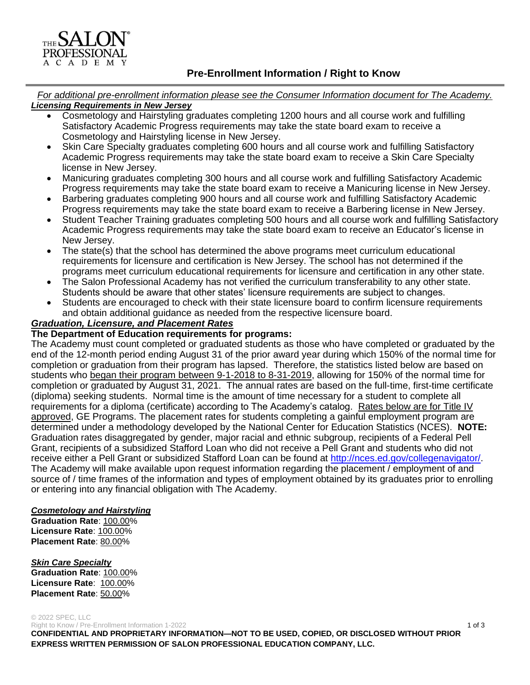# **Pre-Enrollment Information / Right to Know**

*For additional pre-enrollment information please see the Consumer Information document for The Academy. Licensing Requirements in New Jersey*

- Cosmetology and Hairstyling graduates completing 1200 hours and all course work and fulfilling Satisfactory Academic Progress requirements may take the state board exam to receive a Cosmetology and Hairstyling license in New Jersey.
- Skin Care Specialty graduates completing 600 hours and all course work and fulfilling Satisfactory Academic Progress requirements may take the state board exam to receive a Skin Care Specialty license in New Jersey.
- Manicuring graduates completing 300 hours and all course work and fulfilling Satisfactory Academic Progress requirements may take the state board exam to receive a Manicuring license in New Jersey.
- Barbering graduates completing 900 hours and all course work and fulfilling Satisfactory Academic Progress requirements may take the state board exam to receive a Barbering license in New Jersey.
- Student Teacher Training graduates completing 500 hours and all course work and fulfilling Satisfactory Academic Progress requirements may take the state board exam to receive an Educator's license in New Jersey.
- The state(s) that the school has determined the above programs meet curriculum educational requirements for licensure and certification is New Jersey. The school has not determined if the programs meet curriculum educational requirements for licensure and certification in any other state.
- The Salon Professional Academy has not verified the curriculum transferability to any other state. Students should be aware that other states' licensure requirements are subject to changes.
- Students are encouraged to check with their state licensure board to confirm licensure requirements and obtain additional guidance as needed from the respective licensure board.

## *Graduation, Licensure, and Placement Rates*

### **The Department of Education requirements for programs:**

The Academy must count completed or graduated students as those who have completed or graduated by the end of the 12-month period ending August 31 of the prior award year during which 150% of the normal time for completion or graduation from their program has lapsed. Therefore, the statistics listed below are based on students who began their program between 9-1-2018 to 8-31-2019, allowing for 150% of the normal time for completion or graduated by August 31, 2021. The annual rates are based on the full-time, first-time certificate (diploma) seeking students. Normal time is the amount of time necessary for a student to complete all requirements for a diploma (certificate) according to The Academy's catalog. Rates below are for Title IV approved, GE Programs. The placement rates for students completing a gainful employment program are determined under a methodology developed by the National Center for Education Statistics (NCES). **NOTE:** Graduation rates disaggregated by gender, major racial and ethnic subgroup, recipients of a Federal Pell Grant, recipients of a subsidized Stafford Loan who did not receive a Pell Grant and students who did not receive either a Pell Grant or subsidized Stafford Loan can be found at [http://nces.ed.gov/collegenavigator/.](http://nces.ed.gov/collegenavigator/) The Academy will make available upon request information regarding the placement / employment of and source of / time frames of the information and types of employment obtained by its graduates prior to enrolling or entering into any financial obligation with The Academy.

#### *Cosmetology and Hairstyling*

**Graduation Rate**: 100.00% **Licensure Rate**: 100.00% **Placement Rate**: 80.00%

#### *Skin Care Specialty*

**Graduation Rate**: 100.00% **Licensure Rate**: 100.00% **Placement Rate**: 50.00%

#### © 2022 SPEC, LLC

Right to Know / Pre-Enrollment Information 1-2022 1 of 3 and 3 and 3 and 3 and 3 and 3 and 3 and 3 and 4 of 3 and 4 of 3 and 4 of 3 and 4 of 3 and 4 of 3 and 4 of 3 and 4 of 3 and 4 of 3 and 4 of 3 and 4 of 3 and 4 of 3 an **CONFIDENTIAL AND PROPRIETARY INFORMATION—NOT TO BE USED, COPIED, OR DISCLOSED WITHOUT PRIOR EXPRESS WRITTEN PERMISSION OF SALON PROFESSIONAL EDUCATION COMPANY, LLC.**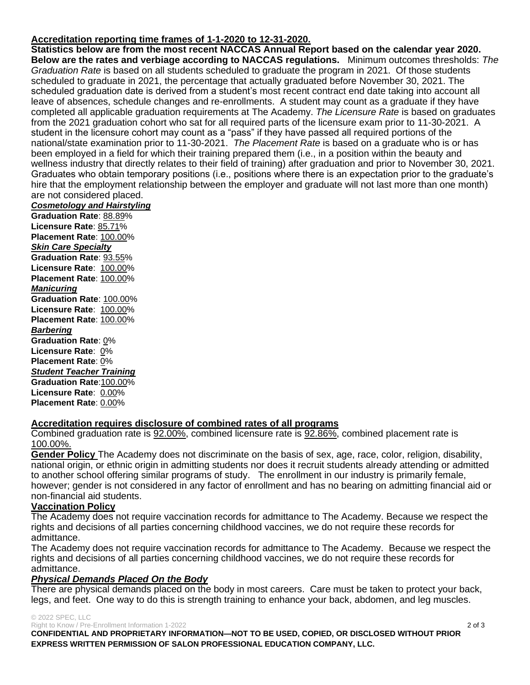### **Accreditation reporting time frames of 1-1-2020 to 12-31-2020.**

**Statistics below are from the most recent NACCAS Annual Report based on the calendar year 2020. Below are the rates and verbiage according to NACCAS regulations.** Minimum outcomes thresholds: *The Graduation Rate* is based on all students scheduled to graduate the program in 2021. Of those students scheduled to graduate in 2021, the percentage that actually graduated before November 30, 2021. The scheduled graduation date is derived from a student's most recent contract end date taking into account all leave of absences, schedule changes and re-enrollments. A student may count as a graduate if they have completed all applicable graduation requirements at The Academy. *The Licensure Rate* is based on graduates from the 2021 graduation cohort who sat for all required parts of the licensure exam prior to 11-30-2021. A student in the licensure cohort may count as a "pass" if they have passed all required portions of the national/state examination prior to 11-30-2021. *The Placement Rate* is based on a graduate who is or has been employed in a field for which their training prepared them (i.e., in a position within the beauty and wellness industry that directly relates to their field of training) after graduation and prior to November 30, 2021. Graduates who obtain temporary positions (i.e., positions where there is an expectation prior to the graduate's hire that the employment relationship between the employer and graduate will not last more than one month) are not considered placed.

#### *Cosmetology and Hairstyling*

**Graduation Rate**: 88.89% **Licensure Rate**: 85.71% **Placement Rate**: 100.00% *Skin Care Specialty* **Graduation Rate**: 93.55% **Licensure Rate**: 100.00% **Placement Rate**: 100.00% *Manicuring* **Graduation Rate**: 100.00% **Licensure Rate**: 100.00% **Placement Rate**: 100.00% *Barbering* **Graduation Rate**: 0% **Licensure Rate**: 0% **Placement Rate**: 0% *Student Teacher Training* **Graduation Rate**:100.00% **Licensure Rate**: 0.00% **Placement Rate**: 0.00%

#### **Accreditation requires disclosure of combined rates of all programs**

Combined graduation rate is 92.00%, combined licensure rate is 92.86%, combined placement rate is 100.00%.

**Gender Policy** The Academy does not discriminate on the basis of sex, age, race, color, religion, disability, national origin, or ethnic origin in admitting students nor does it recruit students already attending or admitted to another school offering similar programs of study. The enrollment in our industry is primarily female, however; gender is not considered in any factor of enrollment and has no bearing on admitting financial aid or non-financial aid students.

#### **Vaccination Policy**

The Academy does not require vaccination records for admittance to The Academy. Because we respect the rights and decisions of all parties concerning childhood vaccines, we do not require these records for admittance.

The Academy does not require vaccination records for admittance to The Academy. Because we respect the rights and decisions of all parties concerning childhood vaccines, we do not require these records for admittance.

#### *Physical Demands Placed On the Body*

There are physical demands placed on the body in most careers. Care must be taken to protect your back, legs, and feet. One way to do this is strength training to enhance your back, abdomen, and leg muscles.

#### © 2022 SPEC, LLC

Right to Know / Pre-Enrollment Information 1-2022 2 of 3 2 of 3

**CONFIDENTIAL AND PROPRIETARY INFORMATION—NOT TO BE USED, COPIED, OR DISCLOSED WITHOUT PRIOR EXPRESS WRITTEN PERMISSION OF SALON PROFESSIONAL EDUCATION COMPANY, LLC.**